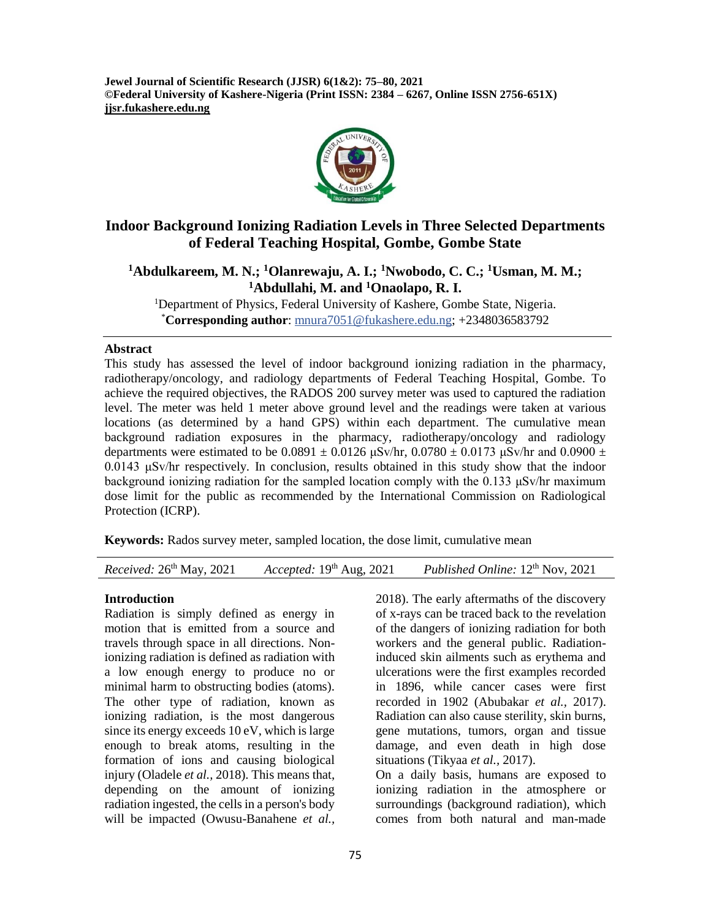**Jewel Journal of Scientific Research (JJSR) 6(1&2): 75–80, 2021 ©Federal University of Kashere-Nigeria (Print ISSN: 2384 – 6267, Online ISSN 2756-651X) jjsr.fukashere.edu.ng**



# **Indoor Background Ionizing Radiation Levels in Three Selected Departments of Federal Teaching Hospital, Gombe, Gombe State**

**<sup>1</sup>Abdulkareem, M. N.; <sup>1</sup>Olanrewaju, A. I.; <sup>1</sup>Nwobodo, C. C.; <sup>1</sup>Usman, M. M.; <sup>1</sup>Abdullahi, M. and <sup>1</sup>Onaolapo, R. I.**

<sup>1</sup>Department of Physics, Federal University of Kashere, Gombe State, Nigeria. \***Corresponding author**: [mnura7051@fukashere.edu.ng;](mailto:mnura7051@fukashere.edu.ng) +2348036583792

#### **Abstract**

This study has assessed the level of indoor background ionizing radiation in the pharmacy, radiotherapy/oncology, and radiology departments of Federal Teaching Hospital, Gombe. To achieve the required objectives, the RADOS 200 survey meter was used to captured the radiation level. The meter was held 1 meter above ground level and the readings were taken at various locations (as determined by a hand GPS) within each department. The cumulative mean background radiation exposures in the pharmacy, radiotherapy/oncology and radiology departments were estimated to be  $0.0891 \pm 0.0126$   $\mu$ Sv/hr,  $0.0780 \pm 0.0173$   $\mu$ Sv/hr and  $0.0900 \pm 0.0173$ 0.0143 μSv/hr respectively. In conclusion, results obtained in this study show that the indoor background ionizing radiation for the sampled location comply with the 0.133  $\mu$ Sv/hr maximum dose limit for the public as recommended by the International Commission on Radiological Protection (ICRP).

**Keywords:** Rados survey meter, sampled location, the dose limit, cumulative mean

*Received:* 26 th May, 2021 *Accepted:* 19th Aug, 2021 *Published Online:* 12 Published Online:  $12<sup>th</sup> Nov, 2021$ 

### **Introduction**

Radiation is simply defined as energy in motion that is emitted from a source and travels through space in all directions. Nonionizing radiation is defined as radiation with a low enough energy to produce no or minimal harm to obstructing bodies (atoms). The other type of radiation, known as ionizing radiation, is the most dangerous since its energy exceeds 10 eV, which is large enough to break atoms, resulting in the formation of ions and causing biological injury (Oladele *et al.,* 2018). This means that, depending on the amount of ionizing radiation ingested, the cells in a person's body will be impacted (Owusu-Banahene *et al.,*

2018). The early aftermaths of the discovery of x-rays can be traced back to the revelation of the dangers of ionizing radiation for both workers and the general public. Radiationinduced skin ailments such as erythema and ulcerations were the first examples recorded in 1896, while cancer cases were first recorded in 1902 (Abubakar *et al.,* 2017). Radiation can also cause sterility, skin burns, gene mutations, tumors, organ and tissue damage, and even death in high dose situations (Tikyaa *et al.,* 2017). On a daily basis, humans are exposed to ionizing radiation in the atmosphere or surroundings (background radiation), which comes from both natural and man-made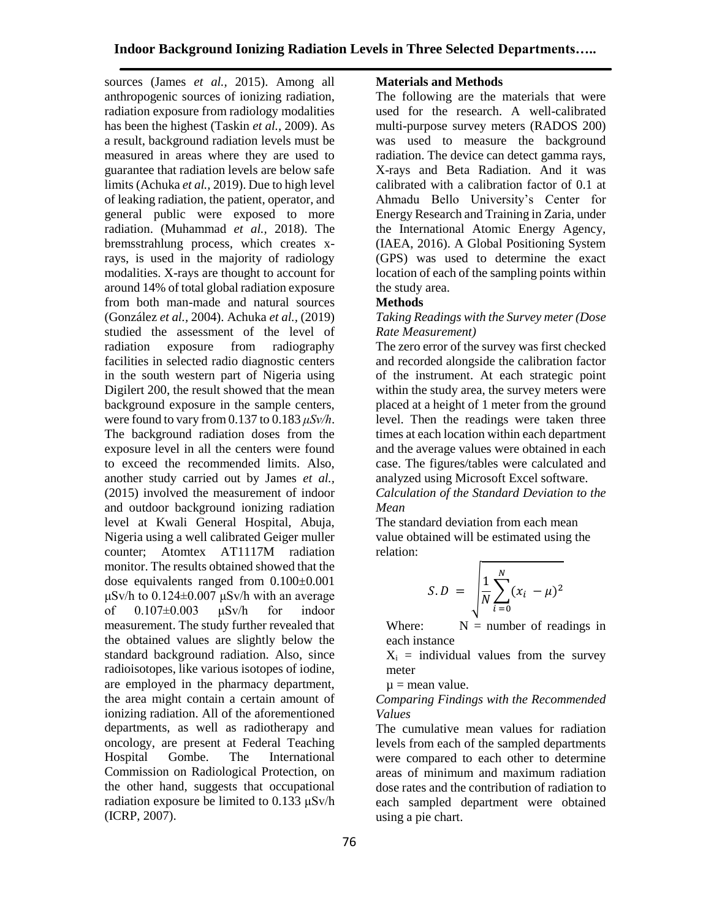sources (James *et al.,* 2015). Among all anthropogenic sources of ionizing radiation, radiation exposure from radiology modalities has been the highest (Taskin *et al.,* 2009). As a result, background radiation levels must be measured in areas where they are used to guarantee that radiation levels are below safe limits (Achuka *et al.,* 2019). Due to high level of leaking radiation, the patient, operator, and general public were exposed to more radiation. (Muhammad *et al.,* 2018). The bremsstrahlung process, which creates xrays, is used in the majority of radiology modalities. X-rays are thought to account for around 14% of total global radiation exposure from both man-made and natural sources (González *et al.,* 2004). Achuka *et al.,* (2019) studied the assessment of the level of radiation exposure from radiography facilities in selected radio diagnostic centers in the south western part of Nigeria using Digilert 200, the result showed that the mean background exposure in the sample centers, were found to vary from 0.137 to 0.183 *μSv/h*. The background radiation doses from the exposure level in all the centers were found to exceed the recommended limits. Also, another study carried out by James *et al.,* (2015) involved the measurement of indoor and outdoor background ionizing radiation level at Kwali General Hospital, Abuja, Nigeria using a well calibrated Geiger muller counter; Atomtex AT1117M radiation monitor. The results obtained showed that the dose equivalents ranged from 0.100±0.001 μSv/h to 0.124±0.007 μSv/h with an average of 0.107±0.003 μSv/h for indoor measurement. The study further revealed that the obtained values are slightly below the standard background radiation. Also, since radioisotopes, like various isotopes of iodine, are employed in the pharmacy department, the area might contain a certain amount of ionizing radiation. All of the aforementioned departments, as well as radiotherapy and oncology, are present at Federal Teaching Hospital Gombe. The International Commission on Radiological Protection, on the other hand, suggests that occupational radiation exposure be limited to 0.133 μSv/h (ICRP, 2007).

## **Materials and Methods**

The following are the materials that were used for the research. A well-calibrated multi-purpose survey meters (RADOS 200) was used to measure the background radiation. The device can detect gamma rays, X-rays and Beta Radiation. And it was calibrated with a calibration factor of 0.1 at Ahmadu Bello University's Center for Energy Research and Training in Zaria, under the International Atomic Energy Agency, (IAEA, 2016). A Global Positioning System (GPS) was used to determine the exact location of each of the sampling points within the study area.

## **Methods**

## *Taking Readings with the Survey meter (Dose Rate Measurement)*

The zero error of the survey was first checked and recorded alongside the calibration factor of the instrument. At each strategic point within the study area, the survey meters were placed at a height of 1 meter from the ground level. Then the readings were taken three times at each location within each department and the average values were obtained in each case. The figures/tables were calculated and analyzed using Microsoft Excel software. *Calculation of the Standard Deviation to the Mean*

The standard deviation from each mean value obtained will be estimated using the relation:

$$
S.D = \sqrt{\frac{1}{N} \sum_{i=0}^{N} (x_i - \mu)^2}
$$

Where:  $N =$  number of readings in each instance

 $X_i$  = individual values from the survey meter

 $\mu$  = mean value.

### *Comparing Findings with the Recommended Values*

The cumulative mean values for radiation levels from each of the sampled departments were compared to each other to determine areas of minimum and maximum radiation dose rates and the contribution of radiation to each sampled department were obtained using a pie chart.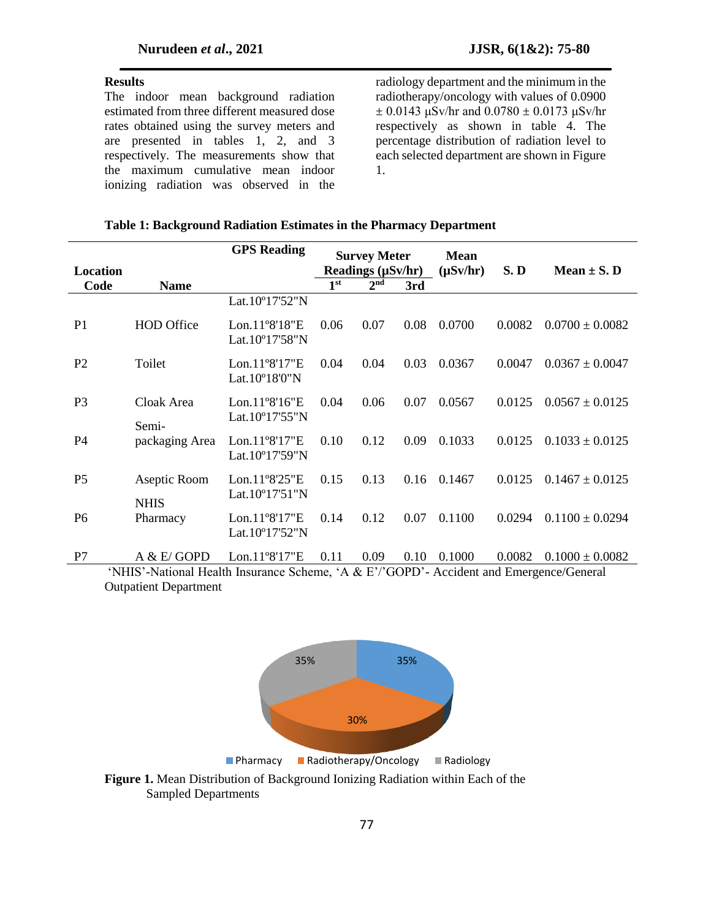#### **Results**

The indoor mean background radiation estimated from three different measured dose rates obtained using the survey meters and are presented in tables 1, 2, and 3 respectively. The measurements show that the maximum cumulative mean indoor ionizing radiation was observed in the radiology department and the minimum in the radiotherapy/oncology with values of 0.0900  $± 0.0143$  μSv/hr and  $0.0780 ± 0.0173$  μSv/hr respectively as shown in table 4. The percentage distribution of radiation level to each selected department are shown in Figure 1.

#### **Table 1: Background Radiation Estimates in the Pharmacy Department**

| <b>Location</b>                                                                         |                             | <b>GPS</b> Reading                                    | <b>Survey Meter</b><br>Readings $(\mu Sv/hr)$ |                 | <b>Mean</b><br>$(\mu Sv/hr)$ | S.D    | Mean $\pm$ S. D |                     |
|-----------------------------------------------------------------------------------------|-----------------------------|-------------------------------------------------------|-----------------------------------------------|-----------------|------------------------------|--------|-----------------|---------------------|
| Code                                                                                    | <b>Name</b>                 |                                                       | 1 <sup>st</sup>                               | 2 <sup>nd</sup> | 3rd                          |        |                 |                     |
|                                                                                         |                             | Lat.10°17'52"N                                        |                                               |                 |                              |        |                 |                     |
| P <sub>1</sub>                                                                          | <b>HOD</b> Office           | Lon. $11^{\circ}8'18''E$<br>Lat.10°17'58"N            | 0.06                                          | 0.07            | 0.08                         | 0.0700 | 0.0082          | $0.0700 \pm 0.0082$ |
| P <sub>2</sub>                                                                          | Toilet                      | $Lon.11^{\circ}8'17"E$<br>Lat.10°18'0"N               | 0.04                                          | 0.04            | 0.03                         | 0.0367 | 0.0047          | $0.0367 \pm 0.0047$ |
| P <sub>3</sub>                                                                          | Cloak Area<br>Semi-         | Lon. $11^{\circ}8'16''E$<br>Lat.10 $^{\circ}17'55''N$ | 0.04                                          | 0.06            | 0.07                         | 0.0567 | 0.0125          | $0.0567 \pm 0.0125$ |
| P4                                                                                      | packaging Area              | Lon.11°8'17"E<br>Lat.10 $^{\circ}$ 17'59"N            | 0.10                                          | 0.12            | 0.09                         | 0.1033 | 0.0125          | $0.1033 \pm 0.0125$ |
| P <sub>5</sub>                                                                          | Aseptic Room<br><b>NHIS</b> | Lon.11°8'25"E<br>Lat.10 $^{\circ}$ 17'51"N            | 0.15                                          | 0.13            | 0.16                         | 0.1467 | 0.0125          | $0.1467 \pm 0.0125$ |
| P <sub>6</sub>                                                                          | Pharmacy                    | Lon.11°8'17"E<br>Lat.10°17'52"N                       | 0.14                                          | 0.12            | 0.07                         | 0.1100 | 0.0294          | $0.1100 \pm 0.0294$ |
| P7                                                                                      | A & E/GOPD                  | $Lon.11^{\circ}8'17"E$                                | 0.11                                          | 0.09            | 0.10                         | 0.1000 | 0.0082          | $0.1000 \pm 0.0082$ |
| 'NHIS'-National Health Insurance Scheme, 'A & E'/'GOPD'- Accident and Emergence/General |                             |                                                       |                                               |                 |                              |        |                 |                     |

Outpatient Department



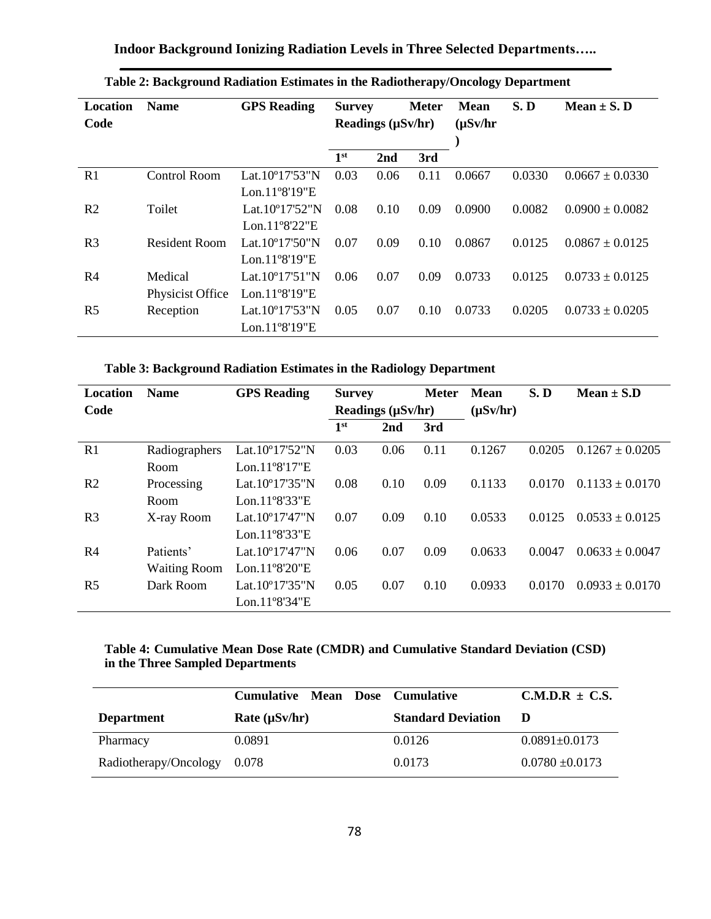**Indoor Background Ionizing Radiation Levels in Three Selected Departments…..**

| Location<br>Code | <b>Name</b>         | <b>GPS</b> Reading         | <b>Meter</b><br><b>Survey</b><br>Readings (µSv/hr) |      | <b>Mean</b><br>$(\mu Sv/hr)$ | S.D    | Mean $\pm$ S. D |                     |
|------------------|---------------------|----------------------------|----------------------------------------------------|------|------------------------------|--------|-----------------|---------------------|
|                  |                     |                            | 1 <sup>st</sup>                                    | 2nd  | 3rd                          |        |                 |                     |
| R1               | <b>Control Room</b> | Lat. $10^{\circ}17'53''N$  | 0.03                                               | 0.06 | 0.11                         | 0.0667 | 0.0330          | $0.0667 \pm 0.0330$ |
|                  |                     | Lon. $11^{\circ}8'19''E$   |                                                    |      |                              |        |                 |                     |
| R <sub>2</sub>   | Toilet              | Lat.10 $^{\circ}17'52''N$  | 0.08                                               | 0.10 | 0.09                         | 0.0900 | 0.0082          | $0.0900 \pm 0.0082$ |
|                  |                     | Lon.11 $98'22"E$           |                                                    |      |                              |        |                 |                     |
| R <sub>3</sub>   | Resident Room       | Lat. $10^{\circ}17'50''$ N | 0.07                                               | 0.09 | 0.10                         | 0.0867 | 0.0125          | $0.0867 \pm 0.0125$ |
|                  |                     | Lon. $11^{\circ}8'19''E$   |                                                    |      |                              |        |                 |                     |
| R <sub>4</sub>   | Medical             | Lat. $10^{\circ}17'51''N$  | 0.06                                               | 0.07 | 0.09                         | 0.0733 | 0.0125          | $0.0733 \pm 0.0125$ |
|                  | Physicist Office    | Lon. $11^{\circ}8'19''E$   |                                                    |      |                              |        |                 |                     |
| R <sub>5</sub>   | Reception           | Lat.10°17'53"N             | 0.05                                               | 0.07 | 0.10                         | 0.0733 | 0.0205          | $0.0733 \pm 0.0205$ |
|                  |                     | Lon.11°8'19"E              |                                                    |      |                              |        |                 |                     |

**Table 3: Background Radiation Estimates in the Radiology Department**

| <b>Location</b> | <b>Name</b>         | <b>GPS</b> Reading         | <b>Survey</b>   |                        | <b>Meter</b> | <b>Mean</b>   | S.D    | Mean $\pm$ S.D      |
|-----------------|---------------------|----------------------------|-----------------|------------------------|--------------|---------------|--------|---------------------|
| Code            |                     |                            |                 | Readings $(\mu Sv/hr)$ |              | $(\mu Sv/hr)$ |        |                     |
|                 |                     |                            | 1 <sup>st</sup> | 2nd                    | 3rd          |               |        |                     |
| R1              | Radiographers       | Lat.10 $^{\circ}17'52''N$  | 0.03            | 0.06                   | 0.11         | 0.1267        | 0.0205 | $0.1267 \pm 0.0205$ |
|                 | Room                | Lon. $11^{\circ}8'17''E$   |                 |                        |              |               |        |                     |
| R <sub>2</sub>  | Processing          | Lat. $10^{\circ}17'35''$ N | 0.08            | 0.10                   | 0.09         | 0.1133        | 0.0170 | $0.1133 \pm 0.0170$ |
|                 | Room                | $Lon.11^{\circ}8'33''E$    |                 |                        |              |               |        |                     |
| R <sub>3</sub>  | X-ray Room          | Lat. $10^{\circ}17'47''$ N | 0.07            | 0.09                   | 0.10         | 0.0533        | 0.0125 | $0.0533 \pm 0.0125$ |
|                 |                     | $Lon.11^{\circ}8'33''E$    |                 |                        |              |               |        |                     |
| R <sub>4</sub>  | Patients'           | Lat. $10^{\circ}17'47''$ N | 0.06            | 0.07                   | 0.09         | 0.0633        | 0.0047 | $0.0633 \pm 0.0047$ |
|                 | <b>Waiting Room</b> | $Lon.11^{\circ}8'20''E$    |                 |                        |              |               |        |                     |
| R <sub>5</sub>  | Dark Room           | Lat.10 $^{\circ}$ 17'35"N  | 0.05            | 0.07                   | 0.10         | 0.0933        | 0.0170 | $0.0933 \pm 0.0170$ |
|                 |                     | Lon.11 $98'34"E$           |                 |                        |              |               |        |                     |

# **Table 4: Cumulative Mean Dose Rate (CMDR) and Cumulative Standard Deviation (CSD) in the Three Sampled Departments**

|                       | Cumulative Mean Dose Cumulative |  |                           | $C.M.D.R \pm C.S.$  |
|-----------------------|---------------------------------|--|---------------------------|---------------------|
| <b>Department</b>     | Rate $(\mu Sv/hr)$              |  | <b>Standard Deviation</b> | D                   |
| Pharmacy              | 0.0891                          |  | 0.0126                    | $0.0891 \pm 0.0173$ |
| Radiotherapy/Oncology | 0.078                           |  | 0.0173                    | $0.0780 \pm 0.0173$ |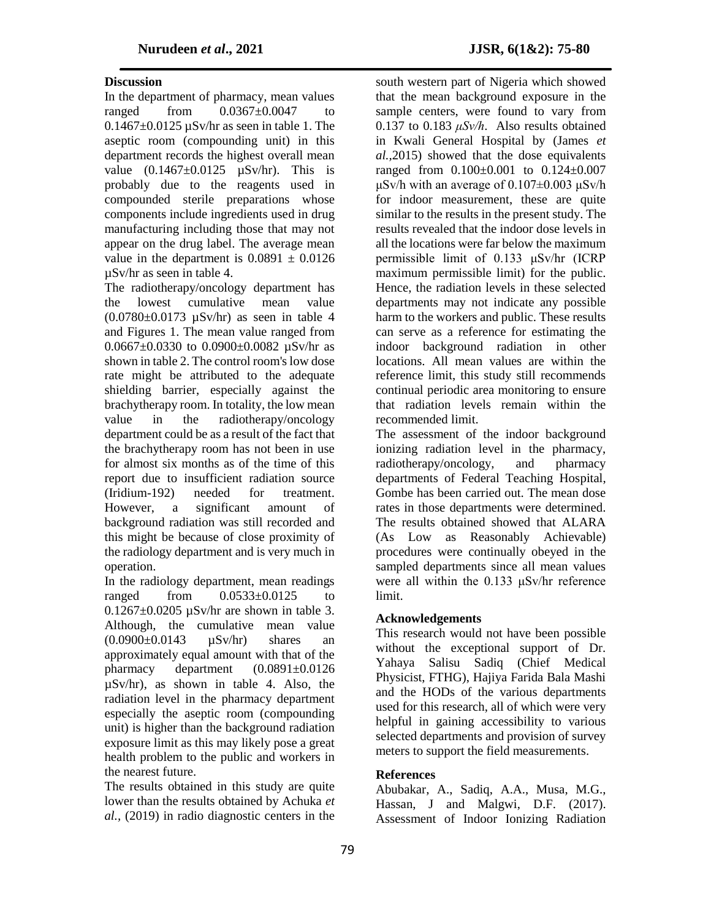# **Discussion**

In the department of pharmacy, mean values ranged from  $0.0367\pm0.0047$  to  $0.1467\pm0.0125$   $\mu$ Sv/hr as seen in table 1. The aseptic room (compounding unit) in this department records the highest overall mean value  $(0.1467 \pm 0.0125 \text{ }\mu\text{Sv/hr})$ . This is probably due to the reagents used in compounded sterile preparations whose components include ingredients used in drug manufacturing including those that may not appear on the drug label. The average mean value in the department is  $0.0891 \pm 0.0126$ µSv/hr as seen in table 4.

The radiotherapy/oncology department has the lowest cumulative mean value  $(0.0780 \pm 0.0173 \text{ µSv/hr})$  as seen in table 4 and Figures 1. The mean value ranged from 0.0667 $\pm$ 0.0330 to 0.0900 $\pm$ 0.0082 uSv/hr as shown in table 2. The control room's low dose rate might be attributed to the adequate shielding barrier, especially against the brachytherapy room. In totality, the low mean value in the radiotherapy/oncology department could be as a result of the fact that the brachytherapy room has not been in use for almost six months as of the time of this report due to insufficient radiation source (Iridium-192) needed for treatment. However, a significant amount of background radiation was still recorded and this might be because of close proximity of the radiology department and is very much in operation.

In the radiology department, mean readings ranged from  $0.0533\pm0.0125$  to  $0.1267 \pm 0.0205$   $\mu$ Sv/hr are shown in table 3. Although, the cumulative mean value  $(0.0900\pm0.0143$   $\mu$ Sv/hr) shares an approximately equal amount with that of the pharmacy department (0.0891±0.0126 µSv/hr), as shown in table 4. Also, the radiation level in the pharmacy department especially the aseptic room (compounding unit) is higher than the background radiation exposure limit as this may likely pose a great health problem to the public and workers in the nearest future.

The results obtained in this study are quite lower than the results obtained by Achuka *et al.,* (2019) in radio diagnostic centers in the

south western part of Nigeria which showed that the mean background exposure in the sample centers, were found to vary from 0.137 to 0.183 *μSv/h*. Also results obtained in Kwali General Hospital by (James *et al.,*2015) showed that the dose equivalents ranged from 0.100±0.001 to 0.124±0.007 μSv/h with an average of  $0.107\pm0.003$  μSv/h for indoor measurement, these are quite similar to the results in the present study. The results revealed that the indoor dose levels in all the locations were far below the maximum permissible limit of 0.133 μSv/hr (ICRP maximum permissible limit) for the public. Hence, the radiation levels in these selected departments may not indicate any possible harm to the workers and public. These results can serve as a reference for estimating the indoor background radiation in other locations. All mean values are within the reference limit, this study still recommends continual periodic area monitoring to ensure that radiation levels remain within the recommended limit.

The assessment of the indoor background ionizing radiation level in the pharmacy, radiotherapy/oncology, and pharmacy departments of Federal Teaching Hospital, Gombe has been carried out. The mean dose rates in those departments were determined. The results obtained showed that ALARA (As Low as Reasonably Achievable) procedures were continually obeyed in the sampled departments since all mean values were all within the 0.133 μSv/hr reference limit.

# **Acknowledgements**

This research would not have been possible without the exceptional support of Dr. Yahaya Salisu Sadiq (Chief Medical Physicist, FTHG), Hajiya Farida Bala Mashi and the HODs of the various departments used for this research, all of which were very helpful in gaining accessibility to various selected departments and provision of survey meters to support the field measurements.

# **References**

Abubakar, A., Sadiq, A.A., Musa, M.G., Hassan, J and Malgwi, D.F. (2017). Assessment of Indoor Ionizing Radiation